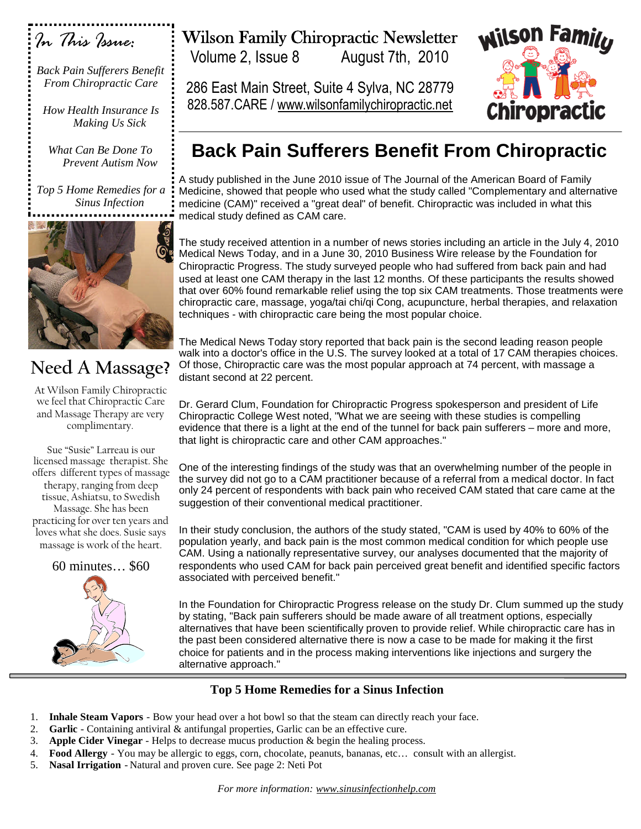

*Back Pain Sufferers Benefit From Chiropractic Care*

*How Health Insurance Is Making Us Sick*

*What Can Be Done To Prevent Autism Now*

*Top 5 Home Remedies for a Sinus Infection*



# **Need A Massage?**

At Wilson Family Chiropractic we feel that Chiropractic Care and Massage Therapy are very complimentary.

Sue "Susie" Larreau is our licensed massage therapist. She offers different types of massage therapy, ranging from deep tissue, Ashiatsu, to Swedish Massage. She has been practicing for over ten years and loves what she does. Susie says massage is work of the heart.

60 minutes… \$60



# Wilson Family Chiropractic Newsletter

Volume 2, Issue 8 August 7th, 2010

286 East Main Street, Suite 4 Sylva, NC 28779 828.587.CARE / www.wilsonfamilychiropractic.net



# **Back Pain Sufferers Benefit From Chiropractic**

A study published in the June 2010 issue of The Journal of the American Board of Family Medicine, showed that people who used what the study called "Complementary and alternative medicine (CAM)" received a "great deal" of benefit. Chiropractic was included in what this medical study defined as CAM care.

The study received attention in a number of news stories including an article in the July 4, 2010 Medical News Today, and in a June 30, 2010 Business Wire release by the Foundation for Chiropractic Progress. The study surveyed people who had suffered from back pain and had used at least one CAM therapy in the last 12 months. Of these participants the results showed that over 60% found remarkable relief using the top six CAM treatments. Those treatments were chiropractic care, massage, yoga/tai chi/qi Cong, acupuncture, herbal therapies, and relaxation techniques - with chiropractic care being the most popular choice.

The Medical News Today story reported that back pain is the second leading reason people walk into a doctor's office in the U.S. The survey looked at a total of 17 CAM therapies choices. Of those, Chiropractic care was the most popular approach at 74 percent, with massage a distant second at 22 percent.

Dr. Gerard Clum, Foundation for Chiropractic Progress spokesperson and president of Life Chiropractic College West noted, "What we are seeing with these studies is compelling evidence that there is a light at the end of the tunnel for back pain sufferers – more and more, that light is chiropractic care and other CAM approaches."

One of the interesting findings of the study was that an overwhelming number of the people in the survey did not go to a CAM practitioner because of a referral from a medical doctor. In fact only 24 percent of respondents with back pain who received CAM stated that care came at the suggestion of their conventional medical practitioner.

In their study conclusion, the authors of the study stated, "CAM is used by 40% to 60% of the population yearly, and back pain is the most common medical condition for which people use CAM. Using a nationally representative survey, our analyses documented that the majority of respondents who used CAM for back pain perceived great benefit and identified specific factors associated with perceived benefit."

In the Foundation for Chiropractic Progress release on the study Dr. Clum summed up the study by stating, "Back pain sufferers should be made aware of all treatment options, especially alternatives that have been scientifically proven to provide relief. While chiropractic care has in the past been considered alternative there is now a case to be made for making it the first choice for patients and in the process making interventions like injections and surgery the alternative approach."

### **Top 5 Home Remedies for a Sinus Infection**

- 1. **Inhale Steam Vapors** Bow your head over a hot bowl so that the steam can directly reach your face.
- 2. **Garlic** Containing antiviral & antifungal properties, Garlic can be an effective cure.
- 3. **Apple Cider Vinegar** Helps to decrease mucus production & begin the healing process.
- 4. **Food Allergy** You may be allergic to eggs, corn, chocolate, peanuts, bananas, etc… consult with an allergist.
- 5. **Nasal Irrigation** Natural and proven cure. See page 2: Neti Pot